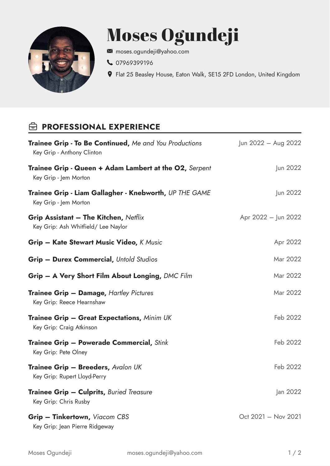

## Moses Ogundeji

- [moses.ogundeji@yahoo.com](mailto:moses.ogundeji@yahoo.com)
- 1[07969399196](tel:07969399196)
- Flat 25 Beasley House, Eaton Walk, SE15 2FD London, United Kingdom

## *<b>B* PROFESSIONAL EXPERIENCE

| <b>Trainee Grip - To Be Continued, Me and You Productions</b><br>Key Grip - Anthony Clinton | Jun 2022 - Aug 2022 |
|---------------------------------------------------------------------------------------------|---------------------|
| <b>Trainee Grip - Queen + Adam Lambert at the O2, Serpent</b><br>Key Grip - Jem Morton      | Jun 2022            |
| Trainee Grip - Liam Gallagher - Knebworth, UP THE GAME<br>Key Grip - Jem Morton             | Jun 2022            |
| <b>Grip Assistant - The Kitchen, Netflix</b><br>Key Grip: Ash Whitfield/ Lee Naylor         | Apr 2022 - Jun 2022 |
| <b>Grip – Kate Stewart Music Video, K Music</b>                                             | Apr 2022            |
| <b>Grip - Durex Commercial, Untold Studios</b>                                              | Mar 2022            |
| Grip - A Very Short Film About Longing, DMC Film                                            | Mar 2022            |
| <b>Trainee Grip - Damage, Hartley Pictures</b><br>Key Grip: Reece Hearnshaw                 | Mar 2022            |
| Trainee Grip - Great Expectations, Minim UK<br>Key Grip: Craig Atkinson                     | Feb 2022            |
| <b>Trainee Grip – Powerade Commercial, Stink</b><br>Key Grip: Pete Olney                    | Feb 2022            |
| <b>Trainee Grip - Breeders, Avalon UK</b><br>Key Grip: Rupert Lloyd-Perry                   | Feb 2022            |
| <b>Trainee Grip - Culprits, Buried Treasure</b><br>Key Grip: Chris Rusby                    | Jan 2022            |
| <b>Grip - Tinkertown, Viacom CBS</b><br>Key Grip: Jean Pierre Ridgeway                      | Oct 2021 - Nov 2021 |